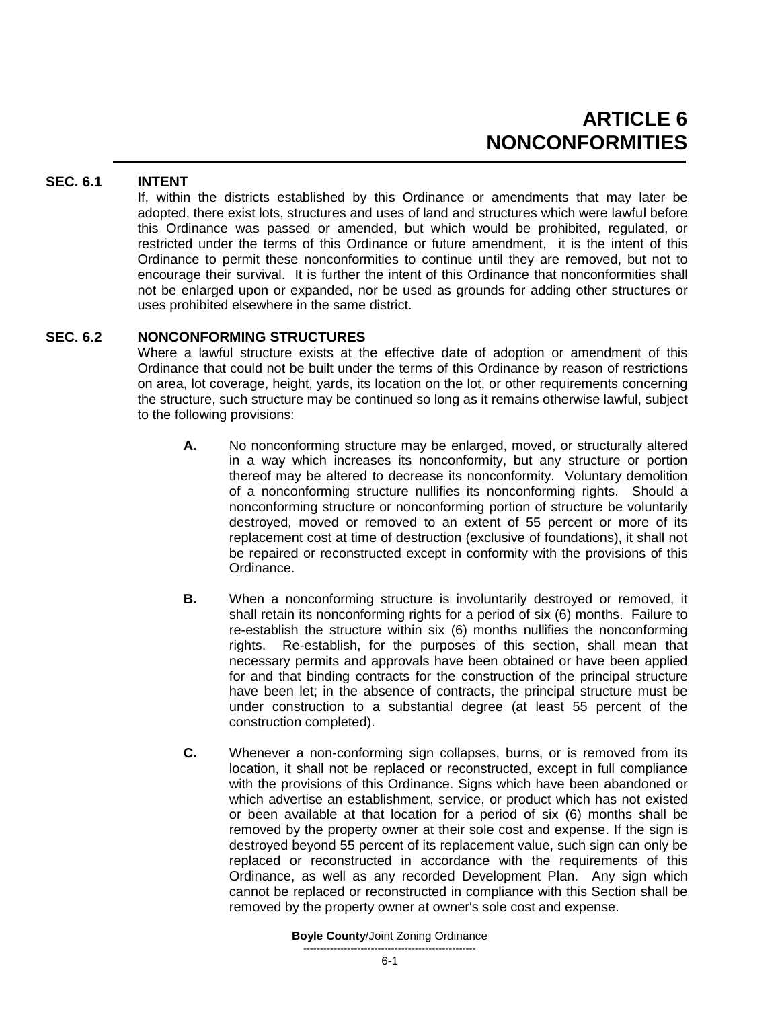# **SEC. 6.1 INTENT**

If, within the districts established by this Ordinance or amendments that may later be adopted, there exist lots, structures and uses of land and structures which were lawful before this Ordinance was passed or amended, but which would be prohibited, regulated, or restricted under the terms of this Ordinance or future amendment, it is the intent of this Ordinance to permit these nonconformities to continue until they are removed, but not to encourage their survival. It is further the intent of this Ordinance that nonconformities shall not be enlarged upon or expanded, nor be used as grounds for adding other structures or uses prohibited elsewhere in the same district.

# **SEC. 6.2 NONCONFORMING STRUCTURES**

Where a lawful structure exists at the effective date of adoption or amendment of this Ordinance that could not be built under the terms of this Ordinance by reason of restrictions on area, lot coverage, height, yards, its location on the lot, or other requirements concerning the structure, such structure may be continued so long as it remains otherwise lawful, subject to the following provisions:

- **A.** No nonconforming structure may be enlarged, moved, or structurally altered in a way which increases its nonconformity, but any structure or portion thereof may be altered to decrease its nonconformity. Voluntary demolition of a nonconforming structure nullifies its nonconforming rights. Should a nonconforming structure or nonconforming portion of structure be voluntarily destroyed, moved or removed to an extent of 55 percent or more of its replacement cost at time of destruction (exclusive of foundations), it shall not be repaired or reconstructed except in conformity with the provisions of this Ordinance.
- **B.** When a nonconforming structure is involuntarily destroyed or removed, it shall retain its nonconforming rights for a period of six (6) months. Failure to re-establish the structure within six (6) months nullifies the nonconforming rights. Re-establish, for the purposes of this section, shall mean that necessary permits and approvals have been obtained or have been applied for and that binding contracts for the construction of the principal structure have been let; in the absence of contracts, the principal structure must be under construction to a substantial degree (at least 55 percent of the construction completed).
- **C.** Whenever a non-conforming sign collapses, burns, or is removed from its location, it shall not be replaced or reconstructed, except in full compliance with the provisions of this Ordinance. Signs which have been abandoned or which advertise an establishment, service, or product which has not existed or been available at that location for a period of six (6) months shall be removed by the property owner at their sole cost and expense. If the sign is destroyed beyond 55 percent of its replacement value, such sign can only be replaced or reconstructed in accordance with the requirements of this Ordinance, as well as any recorded Development Plan. Any sign which cannot be replaced or reconstructed in compliance with this Section shall be removed by the property owner at owner's sole cost and expense.

#### **Boyle County**/Joint Zoning Ordinance ---------------------------------------------------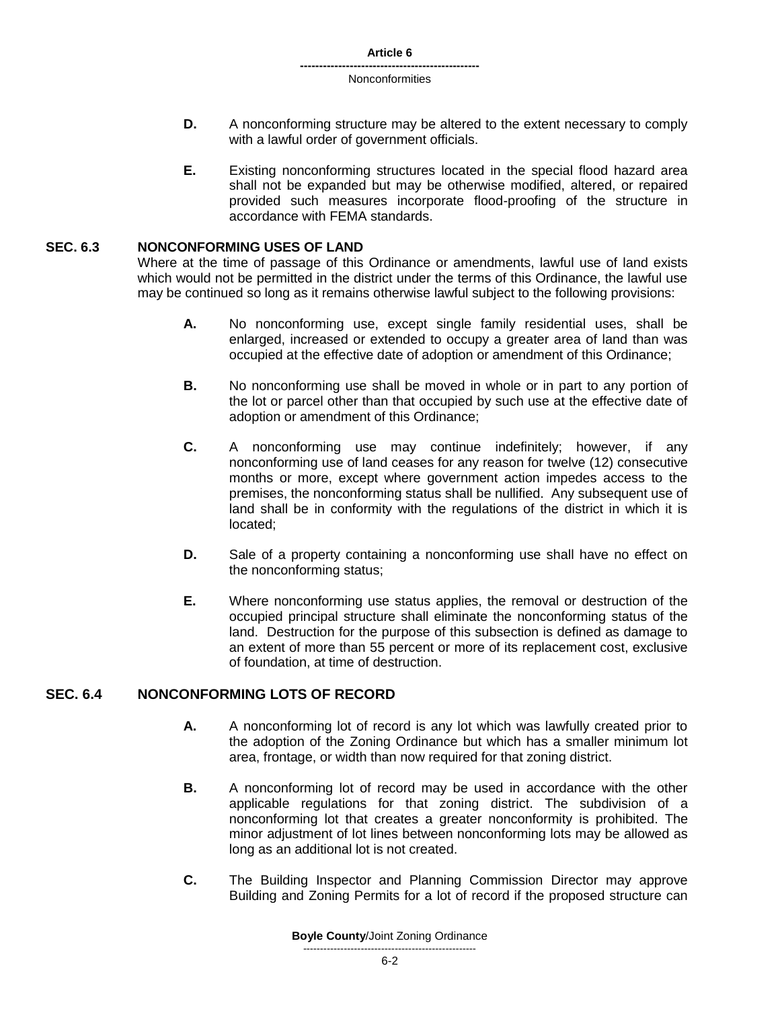**Article 6**

#### **----------------------------------------------- Nonconformities**

- **D.** A nonconforming structure may be altered to the extent necessary to comply with a lawful order of government officials.
- **E.** Existing nonconforming structures located in the special flood hazard area shall not be expanded but may be otherwise modified, altered, or repaired provided such measures incorporate flood-proofing of the structure in accordance with FEMA standards.

## **SEC. 6.3 NONCONFORMING USES OF LAND**

Where at the time of passage of this Ordinance or amendments, lawful use of land exists which would not be permitted in the district under the terms of this Ordinance, the lawful use may be continued so long as it remains otherwise lawful subject to the following provisions:

- **A.** No nonconforming use, except single family residential uses, shall be enlarged, increased or extended to occupy a greater area of land than was occupied at the effective date of adoption or amendment of this Ordinance;
- **B.** No nonconforming use shall be moved in whole or in part to any portion of the lot or parcel other than that occupied by such use at the effective date of adoption or amendment of this Ordinance;
- **C.** A nonconforming use may continue indefinitely; however, if any nonconforming use of land ceases for any reason for twelve (12) consecutive months or more, except where government action impedes access to the premises, the nonconforming status shall be nullified. Any subsequent use of land shall be in conformity with the regulations of the district in which it is located;
- **D.** Sale of a property containing a nonconforming use shall have no effect on the nonconforming status;
- **E.** Where nonconforming use status applies, the removal or destruction of the occupied principal structure shall eliminate the nonconforming status of the land. Destruction for the purpose of this subsection is defined as damage to an extent of more than 55 percent or more of its replacement cost, exclusive of foundation, at time of destruction.

# **SEC. 6.4 NONCONFORMING LOTS OF RECORD**

- **A.** A nonconforming lot of record is any lot which was lawfully created prior to the adoption of the Zoning Ordinance but which has a smaller minimum lot area, frontage, or width than now required for that zoning district.
- **B.** A nonconforming lot of record may be used in accordance with the other applicable regulations for that zoning district. The subdivision of a nonconforming lot that creates a greater nonconformity is prohibited. The minor adjustment of lot lines between nonconforming lots may be allowed as long as an additional lot is not created.
- **C.** The Building Inspector and Planning Commission Director may approve Building and Zoning Permits for a lot of record if the proposed structure can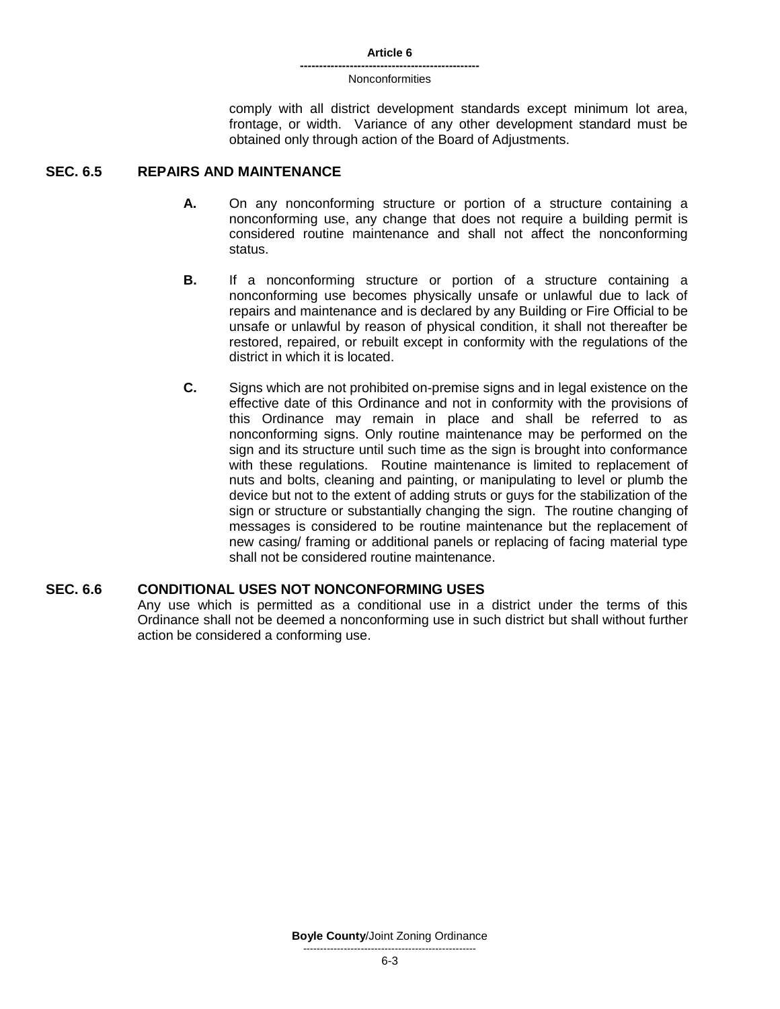#### **Article 6**

#### **-----------------------------------------------** Nonconformities

comply with all district development standards except minimum lot area, frontage, or width. Variance of any other development standard must be obtained only through action of the Board of Adjustments.

## **SEC. 6.5 REPAIRS AND MAINTENANCE**

- **A.** On any nonconforming structure or portion of a structure containing a nonconforming use, any change that does not require a building permit is considered routine maintenance and shall not affect the nonconforming status.
- **B.** If a nonconforming structure or portion of a structure containing a nonconforming use becomes physically unsafe or unlawful due to lack of repairs and maintenance and is declared by any Building or Fire Official to be unsafe or unlawful by reason of physical condition, it shall not thereafter be restored, repaired, or rebuilt except in conformity with the regulations of the district in which it is located.
- **C.** Signs which are not prohibited on-premise signs and in legal existence on the effective date of this Ordinance and not in conformity with the provisions of this Ordinance may remain in place and shall be referred to as nonconforming signs. Only routine maintenance may be performed on the sign and its structure until such time as the sign is brought into conformance with these regulations. Routine maintenance is limited to replacement of nuts and bolts, cleaning and painting, or manipulating to level or plumb the device but not to the extent of adding struts or guys for the stabilization of the sign or structure or substantially changing the sign. The routine changing of messages is considered to be routine maintenance but the replacement of new casing/ framing or additional panels or replacing of facing material type shall not be considered routine maintenance.

## **SEC. 6.6 CONDITIONAL USES NOT NONCONFORMING USES**

Any use which is permitted as a conditional use in a district under the terms of this Ordinance shall not be deemed a nonconforming use in such district but shall without further action be considered a conforming use.